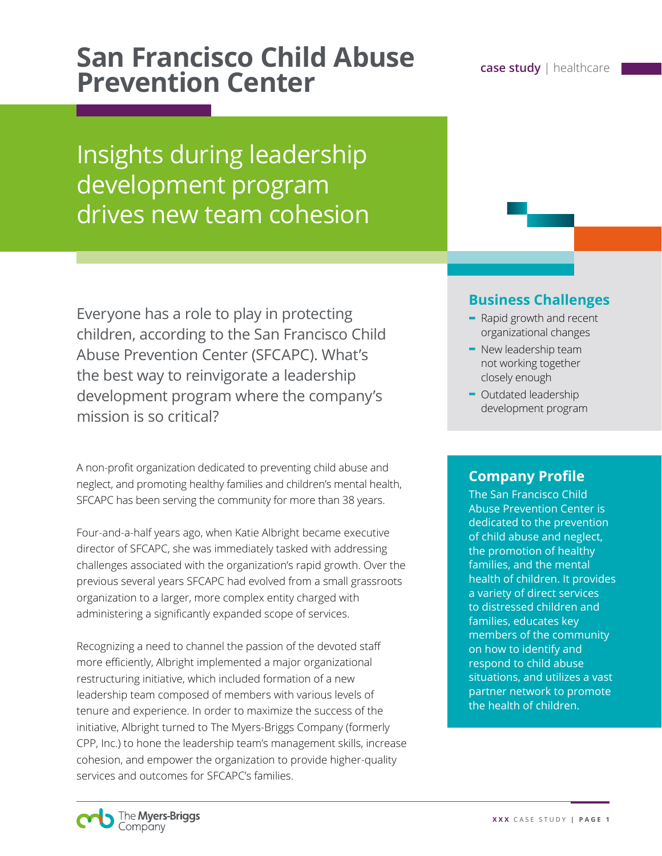# **San Francisco Child Abuse** *case study* **| healthcare <b>Prevention Center**

Insights during leadership development program drives new team cohesion

Everyone has a role to play in protecting children, according to the San Francisco Child Abuse Prevention Center (SFCAPC). What's the best way to reinvigorate a leadership development program where the company's mission is so critical?

A non-profit organization dedicated to preventing child abuse and neglect, and promoting healthy families and children's mental health, SFCAPC has been serving the community for more than 38 years.

Four-and-a-half years ago, when Katie Albright became executive director of SFCAPC, she was immediately tasked with addressing challenges associated with the organization's rapid growth. Over the previous several years SFCAPC had evolved from a small grassroots organization to a larger, more complex entity charged with administering a significantly expanded scope of services.

Recognizing a need to channel the passion of the devoted staff more efficiently, Albright implemented a major organizational restructuring initiative, which included formation of a new leadership team composed of members with various levels of tenure and experience. In order to maximize the success of the initiative, Albright turned to The Myers-Briggs Company (formerly CPP, Inc.) to hone the leadership team's management skills, increase cohesion, and empower the organization to provide higher-quality services and outcomes for SFCAPC's families.

## **Business Challenges**

- **-** Rapid growth and recent organizational changes
- **-** New leadership team not working together closely enough
- **-** Outdated leadership development program

## **Company Profile**

The San Francisco Child Abuse Prevention Center is dedicated to the prevention of child abuse and neglect, the promotion of healthy families, and the mental health of children. It provides a variety of direct services to distressed children and families, educates key members of the community on how to identify and respond to child abuse situations, and utilizes a vast partner network to promote the health of children.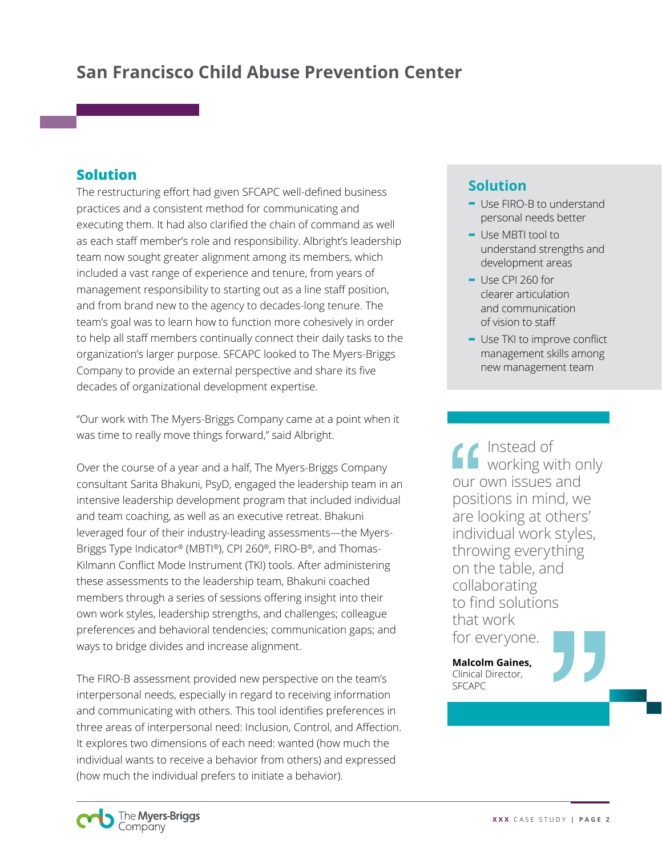#### **Solution**

The restructuring effort had given SFCAPC well-defined business practices and a consistent method for communicating and executing them. It had also clarified the chain of command as well as each staff member's role and responsibility. Albright's leadership team now sought greater alignment among its members, which included a vast range of experience and tenure, from years of management responsibility to starting out as a line staff position, and from brand new to the agency to decades-long tenure. The team's goal was to learn how to function more cohesively in order to help all staff members continually connect their daily tasks to the organization's larger purpose. SFCAPC looked to The Myers-Briggs Company to provide an external perspective and share its five decades of organizational development expertise.

"Our work with The Myers-Briggs Company came at a point when it was time to really move things forward," said Albright.

Over the course of a year and a half, The Myers-Briggs Company consultant Sarita Bhakuni, PsyD, engaged the leadership team in an intensive leadership development program that included individual and team coaching, as well as an executive retreat. Bhakuni leveraged four of their industry-leading assessments—the Myers-Briggs Type Indicator® (MBTI®), CPI 260®, FIRO-B®, and Thomas-Kilmann Conflict Mode Instrument (TKI) tools. After administering these assessments to the leadership team, Bhakuni coached members through a series of sessions offering insight into their own work styles, leadership strengths, and challenges; colleague preferences and behavioral tendencies; communication gaps; and ways to bridge divides and increase alignment.

The FIRO-B assessment provided new perspective on the team's interpersonal needs, especially in regard to receiving information and communicating with others. This tool identifies preferences in three areas of interpersonal need: Inclusion, Control, and Affection. It explores two dimensions of each need: wanted (how much the individual wants to receive a behavior from others) and expressed (how much the individual prefers to initiate a behavior).

> The Myers-Briggs Company

### **Solution**

- **-** Use FIRO-B to understand personal needs better
- **-** Use MBTI tool to understand strengths and development areas
- **-** Use CPI 260 for clearer articulation and communication of vision to staff
- **-** Use TKI to improve conflict management skills among new management team

Instead of working with only our own issues and positions in mind, we are looking at others' individual work styles, throwing everything on the table, and collaborating to find solutions that work for everyone.

**Malcolm Gaines,**  Clinical Director, **SFCAPC**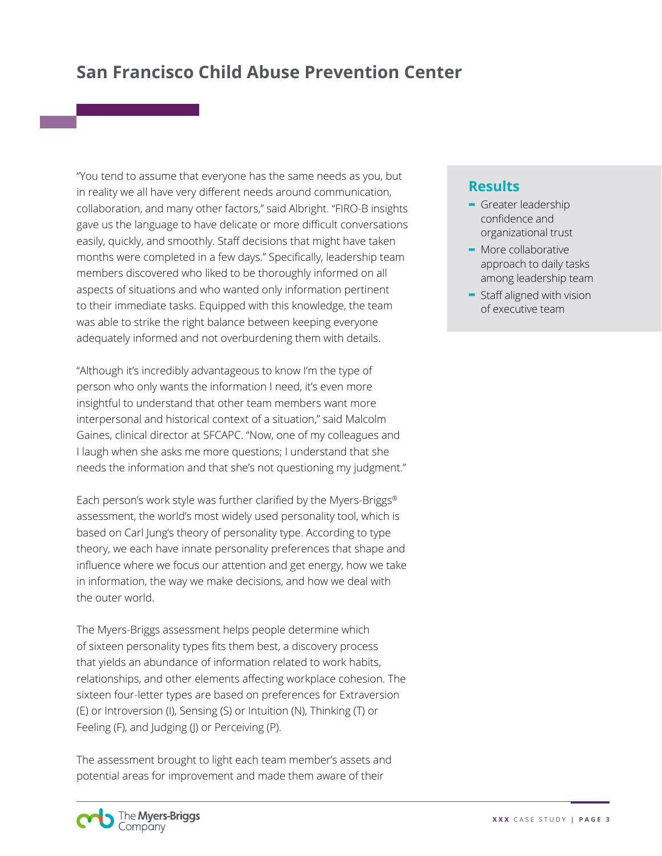"You tend to assume that everyone has the same needs as you, but in reality we all have very different needs around communication, collaboration, and many other factors," said Albright. "FIRO-B insights gave us the language to have delicate or more difficult conversations easily, quickly, and smoothly. Staff decisions that might have taken months were completed in a few days." Specifically, leadership team members discovered who liked to be thoroughly informed on all aspects of situations and who wanted only information pertinent to their immediate tasks. Equipped with this knowledge, the team was able to strike the right balance between keeping everyone adequately informed and not overburdening them with details.

"Although it's incredibly advantageous to know I'm the type of person who only wants the information I need, it's even more insightful to understand that other team members want more interpersonal and historical context of a situation," said Malcolm Gaines, clinical director at SFCAPC. "Now, one of my colleagues and I laugh when she asks me more questions; I understand that she needs the information and that she's not questioning my judgment."

Each person's work style was further clarified by the Myers-Briggs® assessment, the world's most widely used personality tool, which is based on Carl Jung's theory of personality type. According to type theory, we each have innate personality preferences that shape and influence where we focus our attention and get energy, how we take in information, the way we make decisions, and how we deal with the outer world.

The Myers-Briggs assessment helps people determine which of sixteen personality types fits them best, a discovery process that yields an abundance of information related to work habits, relationships, and other elements affecting workplace cohesion. The sixteen four-letter types are based on preferences for Extraversion (E) or Introversion (I), Sensing (S) or Intuition (N), Thinking (T) or Feeling (F), and Judging (J) or Perceiving (P).

The assessment brought to light each team member's assets and potential areas for improvement and made them aware of their

#### **Results**

- **-** Greater leadership confidence and organizational trust
- **-** More collaborative approach to daily tasks among leadership team
- **-** Staff aligned with vision of executive team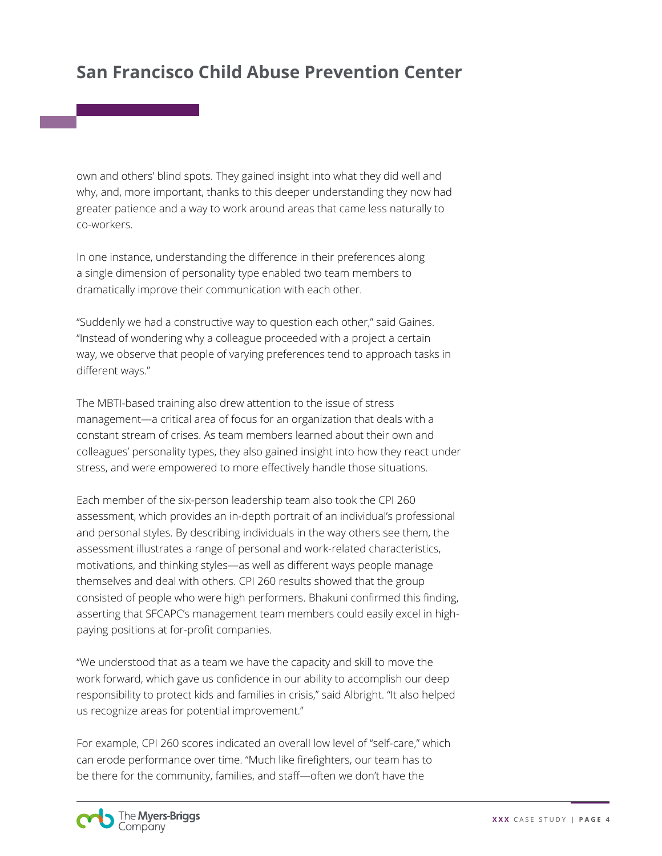own and others' blind spots. They gained insight into what they did well and why, and, more important, thanks to this deeper understanding they now had greater patience and a way to work around areas that came less naturally to co-workers.

In one instance, understanding the difference in their preferences along a single dimension of personality type enabled two team members to dramatically improve their communication with each other.

"Suddenly we had a constructive way to question each other," said Gaines. "Instead of wondering why a colleague proceeded with a project a certain way, we observe that people of varying preferences tend to approach tasks in different ways."

The MBTI-based training also drew attention to the issue of stress management—a critical area of focus for an organization that deals with a constant stream of crises. As team members learned about their own and colleagues' personality types, they also gained insight into how they react under stress, and were empowered to more effectively handle those situations.

Each member of the six-person leadership team also took the CPI 260 assessment, which provides an in-depth portrait of an individual's professional and personal styles. By describing individuals in the way others see them, the assessment illustrates a range of personal and work-related characteristics, motivations, and thinking styles—as well as different ways people manage themselves and deal with others. CPI 260 results showed that the group consisted of people who were high performers. Bhakuni confirmed this finding, asserting that SFCAPC's management team members could easily excel in highpaying positions at for-profit companies.

"We understood that as a team we have the capacity and skill to move the work forward, which gave us confidence in our ability to accomplish our deep responsibility to protect kids and families in crisis," said Albright. "It also helped us recognize areas for potential improvement."

For example, CPI 260 scores indicated an overall low level of "self-care," which can erode performance over time. "Much like firefighters, our team has to be there for the community, families, and staff—often we don't have the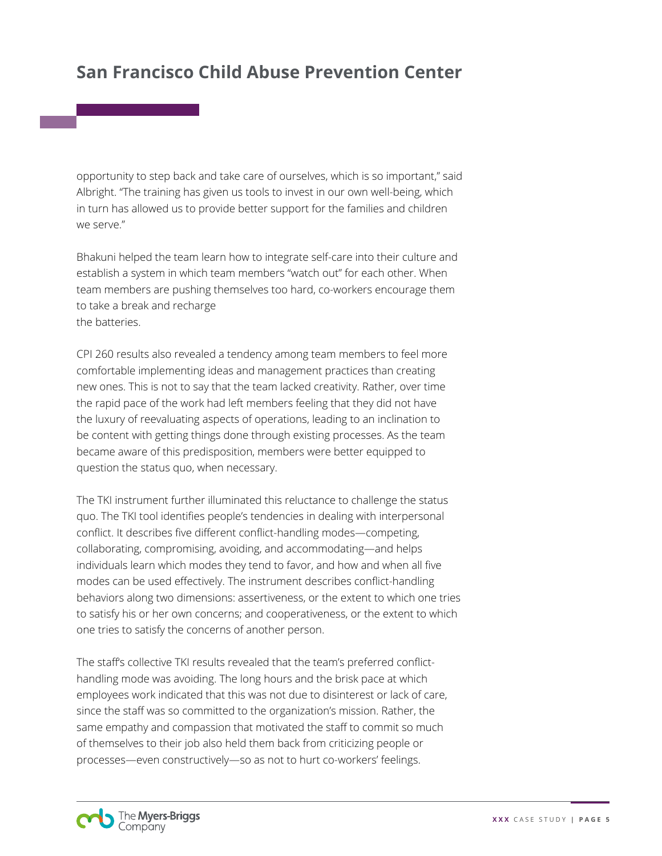opportunity to step back and take care of ourselves, which is so important," said Albright. "The training has given us tools to invest in our own well-being, which in turn has allowed us to provide better support for the families and children we serve."

Bhakuni helped the team learn how to integrate self-care into their culture and establish a system in which team members "watch out" for each other. When team members are pushing themselves too hard, co-workers encourage them to take a break and recharge the batteries.

CPI 260 results also revealed a tendency among team members to feel more comfortable implementing ideas and management practices than creating new ones. This is not to say that the team lacked creativity. Rather, over time the rapid pace of the work had left members feeling that they did not have the luxury of reevaluating aspects of operations, leading to an inclination to be content with getting things done through existing processes. As the team became aware of this predisposition, members were better equipped to question the status quo, when necessary.

The TKI instrument further illuminated this reluctance to challenge the status quo. The TKI tool identifies people's tendencies in dealing with interpersonal conflict. It describes five different conflict-handling modes—competing, collaborating, compromising, avoiding, and accommodating—and helps individuals learn which modes they tend to favor, and how and when all five modes can be used effectively. The instrument describes conflict-handling behaviors along two dimensions: assertiveness, or the extent to which one tries to satisfy his or her own concerns; and cooperativeness, or the extent to which one tries to satisfy the concerns of another person.

The staff's collective TKI results revealed that the team's preferred conflicthandling mode was avoiding. The long hours and the brisk pace at which employees work indicated that this was not due to disinterest or lack of care, since the staff was so committed to the organization's mission. Rather, the same empathy and compassion that motivated the staff to commit so much of themselves to their job also held them back from criticizing people or processes—even constructively—so as not to hurt co-workers' feelings.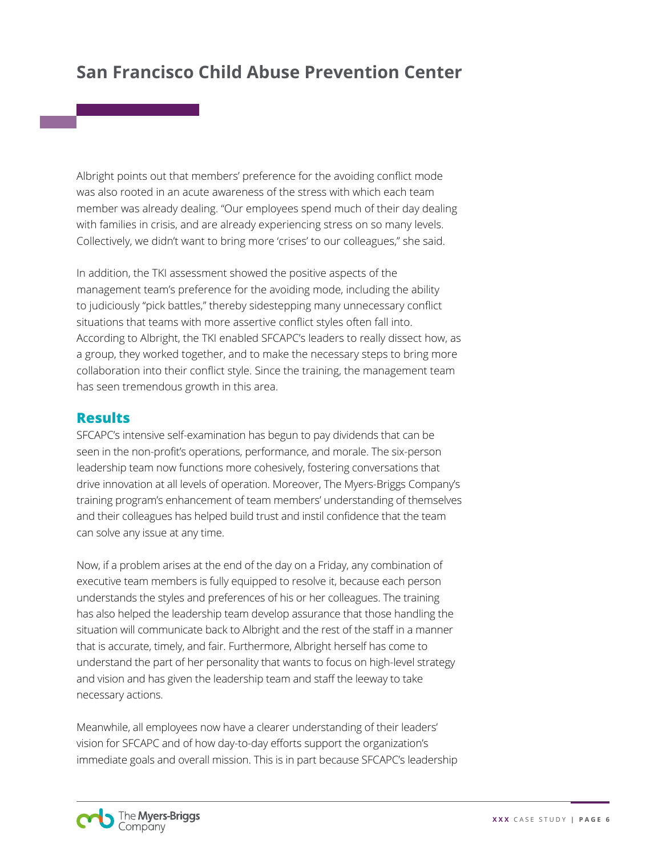Albright points out that members' preference for the avoiding conflict mode was also rooted in an acute awareness of the stress with which each team member was already dealing. "Our employees spend much of their day dealing with families in crisis, and are already experiencing stress on so many levels. Collectively, we didn't want to bring more 'crises' to our colleagues," she said.

In addition, the TKI assessment showed the positive aspects of the management team's preference for the avoiding mode, including the ability to judiciously "pick battles," thereby sidestepping many unnecessary conflict situations that teams with more assertive conflict styles often fall into. According to Albright, the TKI enabled SFCAPC's leaders to really dissect how, as a group, they worked together, and to make the necessary steps to bring more collaboration into their conflict style. Since the training, the management team has seen tremendous growth in this area.

#### **Results**

SFCAPC's intensive self-examination has begun to pay dividends that can be seen in the non-profit's operations, performance, and morale. The six-person leadership team now functions more cohesively, fostering conversations that drive innovation at all levels of operation. Moreover, The Myers-Briggs Company's training program's enhancement of team members' understanding of themselves and their colleagues has helped build trust and instil confidence that the team can solve any issue at any time.

Now, if a problem arises at the end of the day on a Friday, any combination of executive team members is fully equipped to resolve it, because each person understands the styles and preferences of his or her colleagues. The training has also helped the leadership team develop assurance that those handling the situation will communicate back to Albright and the rest of the staff in a manner that is accurate, timely, and fair. Furthermore, Albright herself has come to understand the part of her personality that wants to focus on high-level strategy and vision and has given the leadership team and staff the leeway to take necessary actions.

Meanwhile, all employees now have a clearer understanding of their leaders' vision for SFCAPC and of how day-to-day efforts support the organization's immediate goals and overall mission. This is in part because SFCAPC's leadership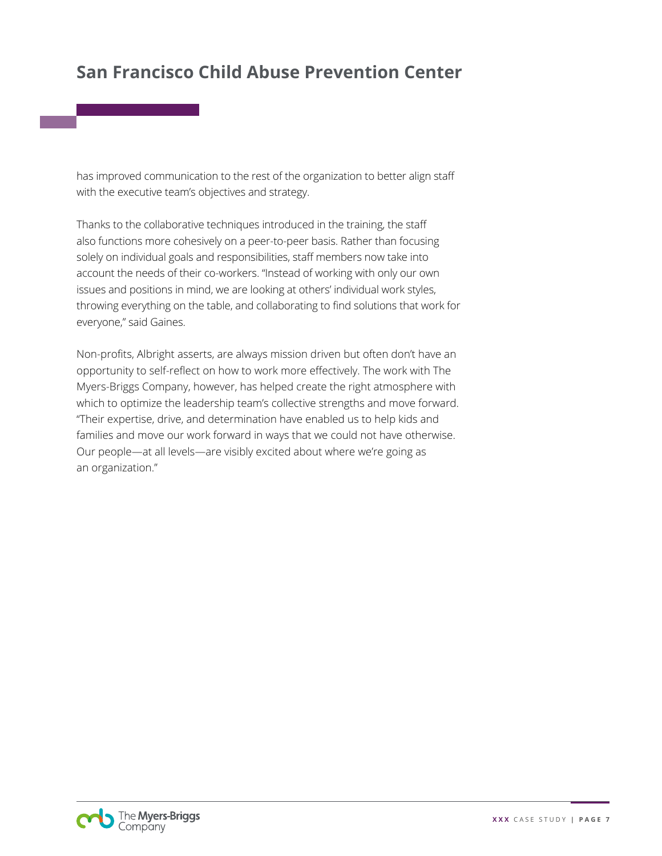has improved communication to the rest of the organization to better align staff with the executive team's objectives and strategy.

Thanks to the collaborative techniques introduced in the training, the staff also functions more cohesively on a peer-to-peer basis. Rather than focusing solely on individual goals and responsibilities, staff members now take into account the needs of their co-workers. "Instead of working with only our own issues and positions in mind, we are looking at others' individual work styles, throwing everything on the table, and collaborating to find solutions that work for everyone," said Gaines.

Non-profits, Albright asserts, are always mission driven but often don't have an opportunity to self-reflect on how to work more effectively. The work with The Myers-Briggs Company, however, has helped create the right atmosphere with which to optimize the leadership team's collective strengths and move forward. "Their expertise, drive, and determination have enabled us to help kids and families and move our work forward in ways that we could not have otherwise. Our people—at all levels—are visibly excited about where we're going as an organization."